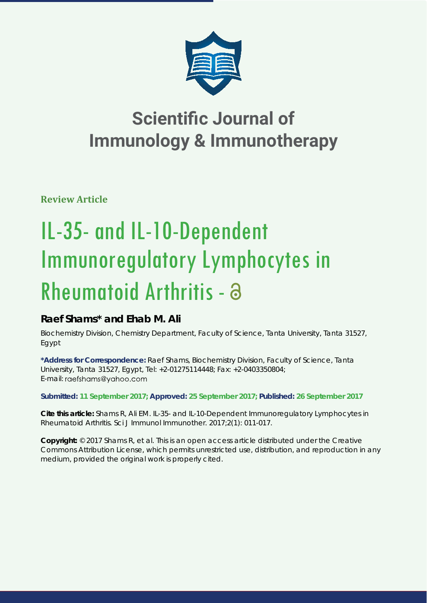

**Review Article**

# IL-35- and IL-10-Dependent Immunoregulatory Lymphocytes in Rheumatoid Arthritis - a

## **Raef Shams\* and Ehab M. Ali**

*Biochemistry Division, Chemistry Department, Faculty of Science, Tanta University, Tanta 31527, Egypt*

**\*Address for Correspondence:** Raef Shams, Biochemistry Division, Faculty of Science, Tanta University, Tanta 31527, Egypt, Tel: +2-01275114448; Fax: +2-0403350804; E-mail: raefshams@yahoo.com

**Submitted: 11 September 2017; Approved: 25 September 2017; Published: 26 September 2017**

**Cite this article:** Shams R, Ali EM. IL-35- and IL-10-Dependent Immunoregulatory Lymphocytes in Rheumatoid Arthritis. Sci J Immunol Immunother. 2017;2(1): 011-017.

**Copyright:** © 2017 Shams R, et al. This is an open access article distributed under the Creative Commons Attribution License, which permits unrestricted use, distribution, and reproduction in any medium, provided the original work is properly cited.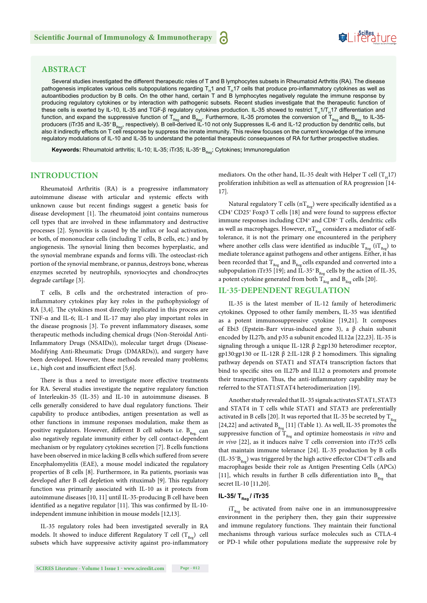## **ABSTRACT**

Several studies investigated the different therapeutic roles of T and B lymphocytes subsets in Rheumatoid Arthritis (RA). The disease pathogenesis implicates various cells subpopulations regarding  $T_H$ 1 and  $T_H$ 17 cells that produce pro-inflammatory cytokines as well as autoantibodies production by B cells. On the other hand, certain T and B lymphocytes negatively regulate the immune response by producing regulatory cytokines or by interaction with pathogenic subsets. Recent studies investigate that the therapeutic function of these cells is exerted by IL-10, IL-35 and TGF-β regulatory cytokines production. IL-35 showed to restrict T<sub>H</sub>1/T<sub>H</sub>17 differentiation and function, and expand the suppressive function of T<sub>Reg</sub> and B<sub>Reg</sub>. Furthermore, IL-35 promotes the conversion of T<sub>Reg</sub> and B<sub>Reg</sub> to IL-35producers (iTr35 and IL-35\*B<sub>Reg</sub>, respectively). B cell-derived IL-10 not only Suppresses IL-6 and IL-12 production by dendritic cells, but also it indirectly effects on T cell response by suppress the innate immunity. This review focuses on the current knowledge of the immune regulatory modulations of IL-10 and IL-35 to understand the potential therapeutic consequences of RA for further prospective studies.

**Keywords:** Rheumatoid arthritis; IL-10; IL-35; iTr35; IL-35<sup>+</sup> B<sub>Reg</sub>; Cytokines; Immunoregulation

## **INTRODUCTION**

Rheumatoid Arthritis (RA) is a progressive inflammatory autoimmune disease with articular and systemic effects with unknown cause but recent findings suggest a genetic basis for disease development [1]. The rheumatoid joint contains numerous cell types that are involved in these inflammatory and destructive processes [2]. Synovitis is caused by the influx or local activation, or both, of mononuclear cells (including T cells, B cells, etc*.*) and by angiogenesis. The synovial lining then becomes hyperplastic, and the synovial membrane expands and forms villi. The osteoclast-rich portion of the synovial membrane, or pannus, destroys bone, whereas enzymes secreted by neutrophils, synoviocytes and chondrocytes degrade cartilage [3].

T cells, B cells and the orchestrated interaction of proinflammatory cytokines play key roles in the pathophysiology of RA [3,4]. The cytokines most directly implicated in this process are TNF-α and IL-6; IL-1 and IL-17 may also play important roles in the disease prognosis [3]. To prevent inflammatory diseases, some therapeutic methods including chemical drugs (Non-Steroidal Anti-Inflammatory Drugs (NSAIDs)), molecular target drugs (Disease-Modifying Anti-Rheumatic Drugs (DMARDs)), and surgery have been developed. However, these methods revealed many problems; i.e., high cost and insufficient effect [5,6].

There is thus a need to investigate more effective treatments for RA. Several studies investigate the negative regulatory function of Interleukin-35 (IL-35) and IL-10 in autoimmune diseases. B cells generally considered to have dual regulatory functions. Their capability to produce antibodies, antigen presentation as well as other functions in immune responses modulation, make them as positive regulators. However, different B cell subsets i.e.  $B_{\text{Re}g}$  can also negatively regulate immunity either by cell contact-dependent mechanism or by regulatory cytokines secretion [7]. B cells functions have been observed in mice lacking B cells which suffered from severe Encephalomyelitis (EAE), a mouse model indicated the regulatory properties of B cells [8]. Furthermore, in Ra patients, psoriasis was developed after B cell depletion with rituximab [9]. This regulatory function was primarily associated with IL-10 as it protects from autoimmune diseases [10, 11] until IL-35-producing B cell have been identified as a negative regulator  $[11]$ . This was confirmed by IL-10independent immune inhibition in mouse models [12,13].

IL-35 regulatory roles had been investigated severally in RA models. It showed to induce different Regulatory T cell  $(T_{\text{Reg}})$  cell subsets which have suppressive activity against pro-inflammatory

mediators. On the other hand, IL-35 dealt with Helper T cell  $(T_n,17)$ proliferation inhibition as well as attenuation of RA progression [14-17].

Natural regulatory T cells  $(nT_{\mathrm{Reg}})$  were specifically identified as a  $CD4^+CD25^+$  Foxp3 T cells [18] and were found to suppress effector immune responses including CD4<sup>+</sup> and CD8<sup>+</sup> T cells, dendritic cells as well as macrophages. However,  $nT_{\text{Reg}}$  considers a mediator of selftolerance, it is not the primary one encountered in the periphery where another cells class were identified as inducible  $T_{\text{Re}g}$  (i $T_{\text{Re}g}$ ) to mediate tolerance against pathogens and other antigens. Either, it has been recorded that  $T_{R_{\text{max}}}$  and  $B_{R_{\text{max}}}$  cells expanded and converted into a subpopulation iTr35 [19]; and IL-35<sup>+</sup> B<sub>Reg</sub> cells by the action of IL-35, a potent cytokine generated from both  $T_{Res}$  and  $B_{Res}$  cells [20].

## **IL-35-DEPENDENT REGULATION**

IL-35 is the latest member of IL-12 family of heterodimeric cytokines. Opposed to other family members, IL-35 was identified as a potent immunosuppressive cytokine [19,21]. It composes of Ebi3 (Epstein-Barr virus-induced gene 3), a β chain subunit encoded by IL27b*,* and p35 α subunit encoded IL12*α* [22,23]. IL-35 is signaling through a unique IL-12R β 2:gp130 heterodimer receptor, gp130:gp130 or IL-12R  $β$  2:IL-12R  $β$  2 homodimers. This signaling pathway depends on STAT1 and STAT4 transcription factors that bind to specific sites on IL27b and IL12 α promoters and promote their transcription. Thus, the anti-inflammatory capability may be referred to the STAT1:STAT4 heterodimerization [19].

Another study revealed that IL-35 signals activates STAT1, STAT3 and STAT4 in T cells while STAT1 and STAT3 are preferentially activated in B cells [20]. It was reported that IL-35 be secreted by  $T_{Ree}$ [24,22] and activated  $B_{Reg}$  [11] (Table 1). As well, IL-35 promotes the suppressive function of  $T_{\text{Reg}}$  and optimize homeostasis *in vitro* and *in vivo* [22], as it induces naïve T cells conversion into iTr35 cells that maintain immune tolerance [24]. IL-35 production by B cells  $(IL-35+B<sub>Res</sub>)$  was triggered by the high active effector CD4<sup>+</sup>T cells and macrophages beside their role as Antigen Presenting Cells (APCs) [11], which results in further B cells differentiation into  $B_{p_{\infty}}$  that secret IL-10 [11,20].

## **IL-35/ T<sub>Reg</sub> / iTr35**

 $iT_{R_{eq}}$  be activated from naïve one in an immunosuppressive environment in the periphery then, they gain their suppressive and immune regulatory functions. They maintain their functional mechanisms through various surface molecules such as CTLA-4 or PD-1 while other populations mediate the suppressive role by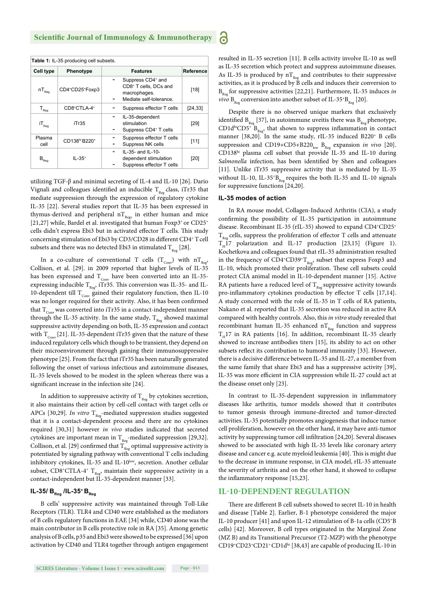| Table 1: IL-35 producing cell subsets. |                                       |                                                                                                               |           |  |  |
|----------------------------------------|---------------------------------------|---------------------------------------------------------------------------------------------------------------|-----------|--|--|
| <b>Cell type</b>                       | Phenotype                             | <b>Features</b>                                                                                               | Reference |  |  |
| $\mathsf{nT}_\mathsf{Reg}$             | CD4+CD25+Foxp3                        | Suppress CD4 <sup>+</sup> and<br>CD8 <sup>+</sup> T cells, DCs and<br>macrophages.<br>Mediate self-tolerance. | [18]      |  |  |
| $T_{\text{Reg}}$                       | CD8+CTLA-4+                           | Suppress effector T cells                                                                                     | [24, 33]  |  |  |
| $\mathsf{i} \mathsf{T}_{\mathsf{Reg}}$ | iTr35                                 | IL-35-dependent<br>stimulation<br>Suppress CD4 <sup>+</sup> T cells                                           | [29]      |  |  |
| Plasma<br>cell                         | CD138 <sup>hi</sup> B220 <sup>+</sup> | Suppress effector T cells<br>Suppress NK cells                                                                | [11]      |  |  |
| $\mathsf{B}_{\mathrm{Reg}}$            | $IL - 35+$                            | $IL-35-$ and $IL-10-$<br>dependent stimulation<br>Suppress effector T cells                                   | [20]      |  |  |

utilizing TGF-β and minimal secreting of IL-4 and IL-10 [26]. Dario Vignali and colleagues identified an inducible  $T_{Res}$  class, iTr35 that mediate suppression through the expression of regulatory cytokine IL-35 [22]. Several studies report that IL-35 has been expressed in thymus-derived and peripheral  $nT_{Res}$  in either human and mice [21,27] while, Bardel et al. investigated that human Foxp3<sup>+</sup> or CD25<sup>+</sup> cells didn't express Ebi3 but in activated effector T cells. This study concerning stimulation of Ebi3 by CD3/CD28 in different CD4+ T cell subsets and there was no detected Ebi3 in stimulated  $T_{R_{eq}}$  [28].

In a co-culture of conventional T cells  $(T_{\text{Conv}})$  with  $nT_{\text{Reg}}$ , Collison, et al. [29]. in 2009 reported that higher levels of IL-35 has been expressed and  $\rm T_{Conv}$  have been converted into an IL-35expressing inducible  $T_{\text{Reg}}$ , iTr35. This conversion was IL-35- and IL-10-dependent till  $T_{\text{Conv}}$  gained their regulatory function, then IL-10 was no longer required for their activity. Also, it has been confirmed that  $T_{\text{conv}}$  was converted into iTr35 in a contact-independent manner through the IL-35 activity. In the same study,  $T_{\text{Re}g}$  showed maximal suppressive activity depending on both, IL-35 expression and contact with  $T_{\text{conv}}$  [21]. IL-35-dependent iTr35 given that the nature of these induced regulatory cells which though to be transient, they depend on their microenvironment through gaining their immunosuppressive phenotype [25]. From the fact that iTr35 has been naturally generated following the onset of various infectious and autoimmune diseases, IL-35 levels showed to be modest in the spleen whereas there was a significant increase in the infection site [24].

In addition to suppressive activity of  $T_{R_{\text{max}}}$  by cytokines secretion, it also maintains their action by cell-cell contact with target cells or APCs [30,29]. *In vitro*  $T_{\text{Reg}}$ -mediated suppression studies suggested that it is a contact-dependent process and there are no cytokines required [30,31] however *in vivo* studies indicated that secreted cytokines are important mean in  $\rm T_{\rm Reg}$  -mediated suppression [29,32]. Collison, et al. [29] confirmed that  $T_{Reg}$  optimal suppressive activity is potentiated by signaling pathway with conventional T cells including inhibitory cytokines, IL-35 and IL-10<sup>low</sup>, secretion. Another cellular subset, CD8<sup>+</sup>CTLA-4<sup>+</sup> T<sub>Reg</sub>, maintain their suppressive activity in a contact-independent but IL-35-dependent manner [33].

## **IL-35/ B<sub>Reg</sub> /IL-35<sup>+</sup> B<sub>Reg</sub>**

B cells' suppressive activity was maintained through Toll-Like Receptors (TLR). TLR4 and CD40 were established as the mediators of B cells regulatory functions in EAE [34] while, CD40 alone was the main contributor in B cells protective role in RA [35]. Among genetic analysis of B cells, p35 and Ebi3 were showed to be expressed [36] upon activation by CD40 and TLR4 together through antigen engagement

**SCIRES Literature - Volume 1 Issue 1 - www.scireslit.com Page - 013**

resulted in IL-35 secretion [11]. B cells activity involve IL-10 as well as IL-35 secretion which protect and suppress autoimmune diseases. As IL-35 is produced by  $nT_{\text{R}_{\text{per}}}$  and contributes to their suppressive activities, as it is produced by  $\check{B}$  cells and induces their conversion to  $B_{p_{eq}}$  for suppressive activities [22,21]. Furthermore, IL-35 induces *in vivo*  $B_{\text{Re}g}$  conversion into another subset of IL-35<sup>+</sup>B<sub>Reg</sub> [20].

Despite there is no observed unique markers that exclusively identified  $B_{R_{\text{per}}}$  [37], in autoimmune uveitis there was  $B_{R_{\text{per}}}$  phenotype,  $CD1d^{hi}CD5^{\dagger}B_{\text{Re}g}$ , that shown to suppress inflammation in contact manner [38,20]. In the same study, rIL-35 induced B220<sup>+</sup> B cells suppression and CD19+CD5+B220<sub>low</sub> B<sub>Reg</sub> expansion *in vivo* [20]. CD138hi plasma cell subset that provide IL-35 and IL-10 during Salmonella infection, has been identified by Shen and colleagues [11]. Unlike iTr35 suppressive activity that is mediated by IL-35 without IL-10, IL-35<sup>+</sup>B<sub>Reg</sub> requires the both IL-35 and IL-10 signals for suppressive functions [24,20].

### **IL-35 modes of action**

6

In RA mouse model, Collagen-Induced Arthritis (CIA), a study confirming the possibility of IL-35 participation in autoimmune disease. Recombinant IL-35 (rIL-35) showed to expand CD4+CD25+  $T_{R_{\text{eq}}}$  cells, suppress the proliferation of effector T cells and attenuate  $T_H$ 17 polarization and IL-17 production [23,15] (Figure 1). Kochetkova and colleagues found that rIL-35 administration resulted in the frequency of  $CD4^{\circ}CD39^{\circ}T_{Ree}$ , subset that express Foxp3 and IL-10, which promoted their proliferation. These cell subsets could protect CIA animal model in IL-10-dependent manner [15]. Active RA patients have a reduced level of  $T_{Res}$  suppressive activity towards pro-inflammatory cytokines production by effector T cells  $[17,14]$ . A study concerned with the role of IL-35 in T cells of RA patients, Nakano et al. reported that IL-35 secretion was reduced in active RA compared with healthy controls. Also, this *in vitro* study revealed that recombinant human IL-35 enhanced  $nT_{\text{Re}g}$  function and suppress  $T<sub>II</sub>17$  in RA patients [16]. In addition, recombinant IL-35 clearly showed to increase antibodies titers [15], its ability to act on other subsets reflect its contribution to humoral immunity [33]. However, there is a decisive difference between IL-35 and IL-27, a member from the same family that share Ebi3 and has a suppressive activity [39], IL-35 was more efficient in CIA suppression while IL-27 could act at the disease onset only [23].

In contrast to IL-35-dependent suppression in inflammatory diseases like arthritis, tumor models showed that it contributes to tumor genesis through immune-directed and tumor-directed activities. IL-35 potentially promotes angiogenesis that induce tumor cell proliferation, however on the other hand, it may have anti-tumor activity by suppressing tumor cell infiltration [24,20]. Several diseases showed to be associated with high IL-35 levels like coronary artery disease and cancer e.g. acute myeloid leukemia [40]. This is might due to the decrease in immune response, in CIA model, rIL-35 attenuate the severity of arthritis and on the other hand, it showed to collapse the inflammatory response  $[15,23]$ .

## **IL-10-DEPENDENT REGULATION**

There are different B cell subsets showed to secret IL-10 in health and disease [Table 2]. Earlier, B-1 phenotype considered the major IL-10 producer [41] and upon IL-12 stimulation of B-1a cells (CD5+B cells) [42]. Moreover, B cell types originated in the Marginal Zone (MZ B) and its Transitional Precursor (T2-MZP) with the phenotype CD19+CD23+CD21+ CD1dhi [38,43] are capable of producing IL-10 in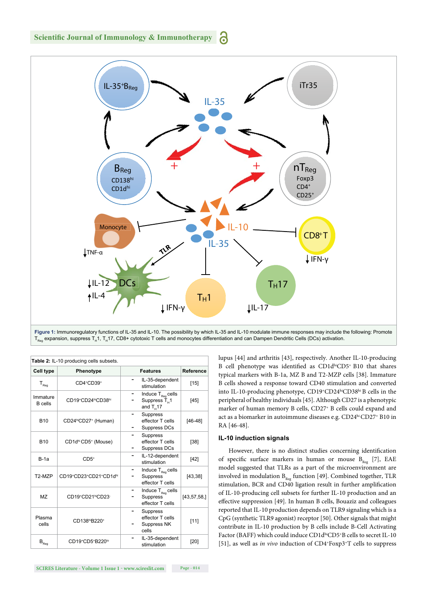**BReg <sup>+</sup> -IL 35**



**Figure 1:** Immunoregulatory functions of IL-35 and IL-10. The possibility by which IL-35 and IL-10 modulate immune responses may include the following: Promote  $T_{\text{Reo}}$  expansion, suppress T<sub>H</sub>1, T<sub>H</sub>17, CD8+ cytotoxic T cells and monocytes differentiation and can Dampen Dendritic Cells (DCs) activation.

| Table 2: IL-10 producing cells subsets. |                                              |                                                                                                         |                  |  |  |
|-----------------------------------------|----------------------------------------------|---------------------------------------------------------------------------------------------------------|------------------|--|--|
| <b>Cell type</b>                        | Phenotype                                    | <b>Features</b>                                                                                         | <b>Reference</b> |  |  |
| $\mathsf{T}_{\mathsf{Reg}}$             | $CD4+CD39+$                                  | IL-35-dependent<br>stimulation                                                                          | $[15]$           |  |  |
| Immature<br><b>B</b> cells              | CD19+CD24 <sup>hi</sup> CD38 <sup>hi</sup>   | Induce $\mathsf{T}_{\scriptscriptstyle\mathsf{Reg}}$ cells<br>Suppress T <sub>u</sub> 1<br>and $T_u$ 17 | [45]             |  |  |
| <b>B10</b>                              | CD24 <sup>hi</sup> CD27 <sup>+</sup> (Human) | <b>Suppress</b><br>-<br>effector T cells<br>Suppress DCs<br>-                                           | $[46-48]$        |  |  |
| <b>B10</b>                              | CD1d <sup>hi</sup> CD5 <sup>+</sup> (Mouse)  | <b>Suppress</b><br>-<br>effector T cells<br>Suppress DCs<br>-                                           | [38]             |  |  |
| $B-1a$                                  | $CD5+$                                       | IL-12-dependent<br>-<br>stimulation                                                                     | $[42]$           |  |  |
| T2-MZP                                  | CD19+CD23+CD21+CD1dhi                        | Induce $T_{\text{Re}a}$ cells<br>Suppress<br>effector T cells                                           | [43, 38]         |  |  |
| MZ                                      | CD19+CD21 <sup>hi</sup> CD23-                | Induce $T_{\text{Reg}}$ cells<br><b>Suppress</b><br>effector T cells                                    | [43, 57, 58]     |  |  |
| Plasma<br>cells                         | CD138 <sup>hi</sup> B220 <sup>+</sup>        | <b>Suppress</b><br>effector T cells<br>Suppress NK<br>cells                                             | [11]             |  |  |
| $\mathsf{B}_{\mathsf{Reg}}$             | CD19+CD5+B220 <sup>10</sup>                  | IL-35-dependent<br>stimulation                                                                          | [20]             |  |  |

lupus [44] and arthritis [43], respectively. Another IL-10-producing B cell phenotype was identified as CD1dhiCD5+ B10 that shares typical markers with B-1a, MZ B and T2-MZP cells [38]. Immature B cells showed a response toward CD40 stimulation and converted into IL-10-producing phenotype, CD19+CD24hiCD38hi B cells in the peripheral of healthy individuals [45]. Although CD27 is a phenotypic marker of human memory B cells, CD27+ B cells could expand and act as a biomarker in autoimmune diseases e.g. CD24hi CD27+ B10 in RA [46-48].

## **IL-10 induction signals**

However, there is no distinct studies concerning identification of specific surface markers in human or mouse  $B_{R_{\text{per}}}$  [7], EAE model suggested that TLRs as a part of the microenvironment are involved in modulation  $B_{R_{per}}$  function [49]. Combined together, TLR stimulation, BCR and CD40 ligation result in further amplification of IL-10-producing cell subsets for further IL-10 production and an effective suppression [49]. In human B cells, Bouaziz and colleagues reported that IL-10 production depends on TLR9 signaling which is a CpG (synthetic TLR9 agonist) receptor [50]. Other signals that might contribute in IL-10 production by B cells include B-Cell Activating Factor (BAFF) which could induce CD1dhiCD5+B cells to secret IL-10 [51], as well as *in vivo* induction of CD4+Foxp3+T cells to suppress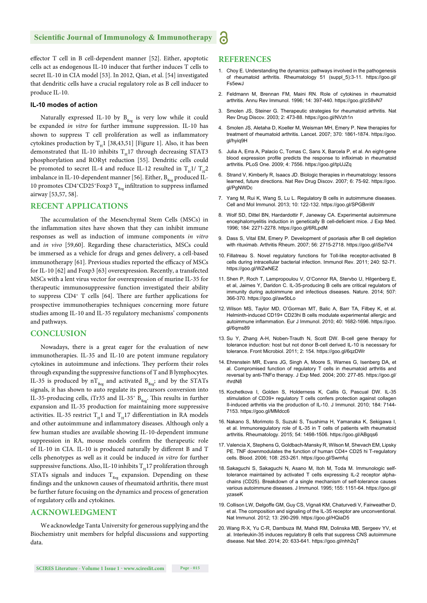effector T cell in B cell-dependent manner [52]. Either, apoptotic cells act as endogenous IL-10 inducer that further induces T cells to secret IL-10 in CIA model [53]. In 2012, Qian, et al. [54] investigated that dendritic cells have a crucial regulatory role as B cell inducer to produce IL-10.

## **IL-10 modes of action**

Naturally expressed IL-10 by  $B_{Reg}$  is very low while it could be expanded *in vitro* for further immune suppression. IL-10 has shown to suppress T cell proliferation as well as inflammatory cytokines production by  $T_H1$  [38,43,51] [Figure 1]. Also, it has been demonstrated that IL-10 inhibits  $T_H17$  through decreasing STAT3 phosphorylation and RORγt reduction [55]. Dendritic cells could be promoted to secret IL-4 and reduce IL-12 resulted in  $T_H$ 1/  $T_H$ 2 imbalance in IL-10-dependent manner [56]. Either,  $B_{Res}$  produced IL-10 promotes CD4+CD25+Foxp3  $T_{Rep}$  infiltration to suppress inflamed airway [53,57, 58].

## **RECENT APPLICATIONS**

The accumulation of the Mesenchymal Stem Cells (MSCs) in the inflammation sites have shown that they can inhibit immune responses as well as induction of immune components *in vitro* and *in vivo* [59,60]. Regarding these characteristics, MSCs could be immersed as a vehicle for drugs and genes delivery, a cell-based immunotherapy [61]. Previous studies reported the efficacy of MSCs for IL-10 [62] and Foxp3 [63] overexpression. Recently, a transfected MSCs with a lent virus vector for overexpression of murine IL-35 for therapeutic immunosuppressive function investigated their ability to suppress CD4<sup>+</sup> T cells [64]. There are further applications for prospective immunotherapies techniques concerning more future studies among IL-10 and IL-35 regulatory mechanisms' components and pathways.

## **CONCLUSION**

Nowadays, there is a great eager for the evaluation of new immunotherapies. IL-35 and IL-10 are potent immune regulatory cytokines in autoimmune and infections. They perform their roles through expanding the suppressive functions of T and B lymphocytes. IL-35 is produced by  $nT_{\text{Re}g}$  and activated  $B_{\text{Re}g}$ ; and by the STATs signals, it has shown to auto regulate its precursors conversion into IL-35-producing cells, iTr35 and IL-35<sup>+</sup>  $B_{\text{Reg}}$ . This results in further expansion and IL-35 production for maintaining more suppressive activities. IL-35 restrict  $T_H1$  and  $T_H17$  differentiation in RA models and other autoimmune and inflammatory diseases. Although only a few human studies are available showing IL-10-dependent immune suppression in RA, mouse models confirm the therapeutic role of IL-10 in CIA. IL-10 is produced naturally by different B and T cells phenotypes as well as it could be induced *in vitro* for further suppressive functions. Also, IL-10 inhibits  $T_H17$  proliferation through STATs signals and induces  $T_{Res}$  expansion. Depending on these findings and the unknown causes of rheumatoid arthritis, there must be further future focusing on the dynamics and process of generation of regulatory cells and cytokines.

## **ACKNOWLEDGMENT**

We acknowledge Tanta University for generous supplying and the Biochemistry unit members for helpful discussions and supporting data.

## **REFERENCES**

- 1. Choy E. Understanding the dynamics: pathways involved in the pathogenesis of rheumatoid arthritis. Rheumatology 51 (suppl\_5):3-11. https://goo.gl/ Fs5ewJ
- 2. Feldmann M, Brennan FM, Maini RN. Role of cytokines in rheumatoid arthritis. Annu Rev Immunol. 1996; 14: 397-440. https://goo.gl/zS8vN7
- 3. Smolen JS, Steiner G. Therapeutic strategies for rheumatoid arthritis. Nat Rev Drug Discov. 2003; 2: 473-88. https://goo.gl/NVzh1n
- 4. Smolen JS, Aletaha D, Koeller M, Weisman MH, Emery P. New therapies for treatment of rheumatoid arthritis. Lancet. 2007; 370: 1861-1874. https://goo. gl/hyiq9H
- 5. Julia A, Erra A, Palacio C, Tomas C, Sans X, Barcela P, et al. An eight-gene blood expression profile predicts the response to infliximab in rheumatoid arthritis. PLoS One. 2009; 4: 7556. https://goo.gl/tpUJZq
- 6. Strand V, Kimberly R, Isaacs JD. Biologic therapies in rheumatology: lessons learned, future directions. Nat Rev Drug Discov. 2007; 6: 75-92. https://goo. gl/PgNWDc
- 7. Yang M, Rui K, Wang S, Lu L. Regulatory B cells in autoimmune diseases. Cell and Mol Immunol. 2013; 10: 122-132. https://goo.gl/SPGBmW
- 8. Wolf SD, Dittel BN, Hardardottir F, Janeway CA. Experimental autoimmune encephalomyelitis induction in genetically B cell-deficient mice. J Exp Med. 1996; 184: 2271-2278. https://goo.gl/6RLpdM
- 9. Dass S, Vital EM, Emery P. Development of psoriasis after B cell depletion with rituximab. Arthritis Rheum. 2007; 56: 2715-2718. https://goo.gl/iSe7V4
- 10. Fillatreau S. Novel regulatory functions for Toll-like receptor-activated B cells during intracellular bacterial infection. Immunol Rev. 2011; 240: 52-71. https://goo.gl/WZwNEZ
- 11. Shen P, Roch T, Lampropoulou V, O'Connor RA, Stervbo U, Hilgenberg E, et al, Jaimes Y, Daridon C. IL-35-producing B cells are critical regulators of immunity during autoimmune and infectious diseases. Nature. 2014; 507: 366-370. https://goo.gl/aw5bLo
- 12. Wilson MS, Taylor MD, O'Gorman MT, Balic A, Barr TA, Filbey K, et al. Helminth-induced CD19+ CD23hi B cells modulate experimental allergic and autoimmune inflammation. Eur J Immunol. 2010; 40: 1682-1696. https://goo. gl/6qms89
- 13. Su Y, Zhang A-H, Noben-Trauth N, Scott DW. B-cell gene therapy for tolerance induction: host but not donor B-cell derived IL-10 is necessary for tolerance. Front Microbiol. 2011; 2: 154. https://goo.gl/6qzDWr
- 14. Ehrenstein MR, Evans JG, Singh A, Moore S, Warnes G, Isenberg DA, et al. Compromised function of regulatory T cells in rheumatoid arthritis and reversal by anti-TNFα therapy. J Exp Med. 2004; 200: 277-85. https://goo.gl/ rhrdN8
- 15. Kochetkova I, Golden S, Holderness K, Callis G, Pascual DW. IL-35 stimulation of CD39+ regulatory T cells confers protection against collagen II-induced arthritis via the production of IL-10. J Immunol. 2010; 184: 7144- 7153. https://goo.gl/MMdcc6
- 16. Nakano S, Morimoto S, Suzuki S, Tsushima H, Yamanaka K, Sekigawa I, et al. Immunoregulatory role of IL-35 in T cells of patients with rheumatoid arthritis. Rheumatology. 2015; 54: 1498-1506. https://goo.gl/ABgqs6
- 17. Valencia X, Stephens G, Goldbach-Mansky R, Wilson M, Shevach EM, Lipsky PE. TNF downmodulates the function of human CD4+ CD25 hi T-regulatory cells. Blood. 2006; 108: 253-261. https://goo.gl/Swmfuj
- 18. Sakaguchi S, Sakaguchi N, Asano M, Itoh M, Toda M. Immunologic selftolerance maintained by activated T cells expressing IL-2 receptor alphachains (CD25). Breakdown of a single mechanism of self-tolerance causes various autoimmune diseases. J Immunol. 1995; 155: 1151-64. https://goo.gl/ yzaseK
- 19. Collison LW, Delgoffe GM, Guy CS, Vignali KM, Chaturvedi V, Fairweather D, et al. The composition and signaling of the IL-35 receptor are unconventional. Nat Immunol. 2012; 13: 290-299. https://goo.gl/HQiaD5
- 20. Wang R-X, Yu C-R, Dambuza IM, Mahdi RM, Dolinska MB, Sergeev YV, et al. Interleukin-35 induces regulatory B cells that suppress CNS autoimmune disease. Nat Med. 2014; 20: 633-641. https://goo.gl/nhh2qT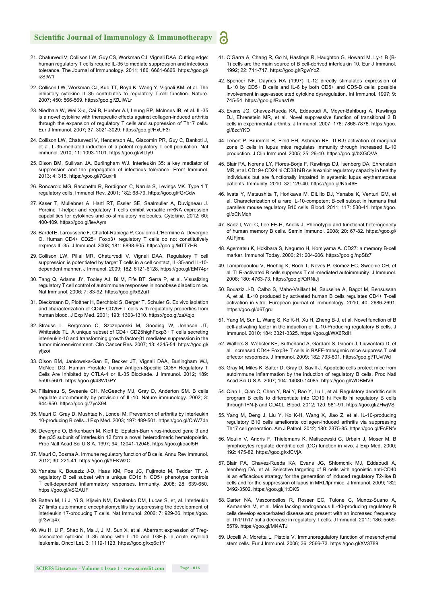- 21. Chaturvedi V, Collison LW, Guy CS, Workman CJ, Vignali DAA. Cutting edge: human regulatory T cells require IL-35 to mediate suppression and infectious tolerance. The Journal of Immunology. 2011; 186: 6661-6666. https://goo.gl/ izStW1
- 22. Collison LW, Workman CJ, Kuo TT, Boyd K, Wang Y, Vignali KM, et al. The inhibitory cytokine IL-35 contributes to regulatory T-cell function. Nature. 2007; 450: 566-569. https://goo.gl/ZUiWLr
- 23. Niedbala W, Wei X-q, Cai B, Hueber AJ, Leung BP, McInnes IB, et al. IL-35 is a novel cytokine with therapeutic effects against collagen-induced arthritis through the expansion of regulatory T cells and suppression of Th17 cells. Eur J Immunol. 2007; 37: 3021-3029. https://goo.gl/HxUF3r
- 24. Collison LW, Chaturvedi V, Henderson AL, Giacomin PR, Guy C, Bankoti J, et al. L-35-mediated induction of a potent regulatory T cell population. Nat immunol. 2010; 11: 1093-1101. https://goo.gl/vfLfy9
- 25. Olson BM, Sullivan JA, Burlingham WJ. Interleukin 35: a key mediator of suppression and the propagation of infectious tolerance. Front Immunol. 2013; 4: 315. https://goo.gl/7GuxHi
- 26. Roncarolo MG, Bacchetta R, Bordignon C, Narula S, Levings MK. Type 1 T regulatory cells. Immunol Rev. 2001; 182: 68-79. https://goo.gl/fGrCdw
- 27. Kaser T, Mullebner A, Hartl RT, Essler SE, Saalmuller A, Duvigneau J. Porcine T-helper and regulatory T cells exhibit versatile mRNA expression capabilities for cytokines and co-stimulatory molecules. Cytokine. 2012; 60: 400-409. https://goo.gl/ievAym
- 28. Bardel E, Larousserie F, Charlot-Rabiega P, Coulomb-L'Hermine A, Devergne O. Human CD4+ CD25+ Foxp3+ regulatory T cells do not constitutively express IL-35. J Immunol. 2008; 181: 6898-905. https://goo.gl/MTT7HB
- 29. Collison LW, Pillai MR, Chaturvedi V, Vignali DAA. Regulatory T cell suppression is potentiated by target T cells in a cell contact, IL-35-and IL-10 dependent manner. J Immunol. 2009; 182: 6121-6128. https://goo.gl/EM74pr
- 30. Tang Q, Adams JY, Tooley AJ, Bi M, Fife BT, Serra P, et al. Visualizing regulatory T cell control of autoimmune responses in nonobese diabetic mice. Nat Immunol. 2006; 7: 83-92. https://goo.gl/x62uiT
- 31. Dieckmann D, Plottner H, Berchtold S, Berger T, Schuler G. Ex vivo isolation and characterization of CD4+ CD25+ T cells with regulatory properties from human blood. J Exp Med. 2001; 193: 1303-1310. https://goo.gl/zaXqjo
- 32. Strauss L, Bergmann C, Szczepanski M, Gooding W, Johnson JT, Whiteside TL. A unique subset of CD4+ CD25highFoxp3+ T cells secreting interleukin-10 and transforming growth factor-β1 mediates suppression in the tumor microenvironment. Clin Cancer Res. 2007; 13: 4345-54. https://goo.gl/ yfjzoi
- 33. Olson BM, Jankowska-Gan E, Becker JT, Vignali DAA, Burlingham WJ, McNeel DG. Human Prostate Tumor Antigen-Specific CD8+ Regulatory T Cells Are Inhibited by CTLA-4 or IL-35 Blockade. J Immunol. 2012; 189: 5590-5601. https://goo.gl/48WGPY
- 34. Fillatreau S, Sweenie CH, McGeachy MJ, Gray D, Anderton SM. B cells regulate autoimmunity by provision of IL-10. Nature immunology. 2002; 3: 944-950. https://goo.gl/7ycX94
- 35. Mauri C, Gray D, Mushtaq N, Londei M. Prevention of arthritis by interleukin 10-producing B cells. J Exp Med. 2003; 197: 489-501. https://goo.gl/CnW7dn
- 36. Devergne O, Birkenbach M, Kieff E. Epstein-Barr virus-induced gene 3 and the p35 subunit of interleukin 12 form a novel heterodimeric hematopoietin. Proc Natl Acad Sci U S A. 1997; 94: 12041-12046. https://goo.gl/oacf5H
- 37. Mauri C, Bosma A. Immune regulatory function of B cells. Annu Rev Immunol. 2012; 30: 221-41. https://goo.gl/YEKWzC
- 38. Yanaba K, Bouaziz J-D, Haas KM, Poe JC, Fujimoto M, Tedder TF. A regulatory B cell subset with a unique CD1d hi CD5+ phenotype controls T cell-dependent inflammatory responses. Immunity. 2008; 28: 639-650. https://goo.gl/vSQAUF
- 39. Batten M, Li J, Yi S, Kljavin NM, Danilenko DM, Lucas S, et, al. Interleukin 27 limits autoimmune encephalomyelitis by suppressing the development of interleukin 17-producing T cells. Nat Immunol. 2006; 7: 929-36. https://goo. gl/3wtq4x
- 40. Wu H, Li P, Shao N, Ma J, Ji M, Sun X, et al. Aberrant expression of Tregassociated cytokine IL-35 along with IL-10 and TGF-β in acute myeloid leukemia. Oncol Let. 3: 1119-1123. https://goo.gl/xq6c1Y

41. O'Garra A, Chang R, Go N, Hastings R, Haughton G, Howard M. Ly-1 B (B-1) cells are the main source of B cell-derived interleukin 10. Eur J Immunol. 1992; 22: 711-717. https://goo.gl/RgwYoZ

6

- 42. Spencer NF, Daynes RA (1997) IL-12 directly stimulates expression of IL-10 by CD5+ B cells and IL-6 by both CD5+ and CD5-B cells: possible involvement in age-associated cytokine dysregulation. Int Immunol. 1997; 9: 745-54. https://goo.gl/Ruas1W
- 43. Evans JG, Chavez-Rueda KA, Eddaoudi A, Meyer-Bahlburg A, Rawlings DJ, Ehrenstein MR, et al. Novel suppressive function of transitional 2 B cells in experimental arthritis. J Immunol. 2007; 178: 7868-7878. https://goo. gl/8zcYKD
- 44. Lenert P, Brummel R, Field EH, Ashman RF. TLR-9 activation of marginal zone B cells in lupus mice regulates immunity through increased IL-10 production. J Clin Immunol. 2005; 25: 29-40. https://goo.gl/bXGQVA
- 45. Blair PA, Norena LY, Flores-Borja F, Rawlings DJ, Isenberg DA, Ehrenstein MR, et al. CD19+ CD24 hi CD38 hi B cells exhibit regulatory capacity in healthy individuals but are functionally impaired in systemic lupus erythematosus patients. Immunity. 2010; 32: 129-40. https://goo.gl/Nfu46E
- 46. Iwata Y, Matsushita T, Horikawa M, DiLillo DJ, Yanaba K, Venturi GM, et al. Characterization of a rare IL-10-competent B-cell subset in humans that parallels mouse regulatory B10 cells. Blood. 2011; 117: 530-41. https://goo. gl/zCNMqh
- 47. Sanz I, Wei C, Lee FE-H, Anolik J. Phenotypic and functional heterogeneity of human memory B cells. Semin Immunol. 2008; 20: 67-82. https://goo.gl/ **AUFima**
- 48. Agematsu K, Hokibara S, Nagumo H, Komiyama A. CD27: a memory B-cell marker. Immunol Today. 2000; 21: 204-206. https://goo.gl/npSfz7
- 49. Lampropoulou V, Hoehlig K, Roch T, Neves P, Gomez EC, Sweenie CH, et al. TLR-activated B cells suppress T cell-mediated autoimmunity. J Immunol. 2008; 180: 4763-73. https://goo.gl/QRNiJj
- 50. Bouaziz J-D, Calbo S, Maho-Vaillant M, Saussine A, Bagot M, Bensussan A, et al. IL-10 produced by activated human B cells regulates CD4+ T-cell activation in vitro. European journal of immunology. 2010; 40: 2686-2691. https://goo.gl/d6Tgru
- 51. Yang M, Sun L, Wang S, Ko K-H, Xu H, Zheng B-J, et al. Novel function of B cell-activating factor in the induction of IL-10-Producing regulatory B cells. J Immunol. 2010; 184: 3321-3325. https://goo.gl/WX6RdH
- 52. Walters S, Webster KE, Sutherland A, Gardam S, Groom J, Liuwantara D, et al. Increased CD4+ Foxp3+ T cells in BAFF-transgenic mice suppress T cell effector responses. J Immunol. 2009; 182: 793-801. https://goo.gl/TUviWd
- 53. Gray M, Miles K, Salter D, Gray D, Savill J. Apoptotic cells protect mice from autoimmune inflammation by the induction of regulatory B cells. Proc Natl Acad Sci U S A. 2007; 104: 14080-14085. https://goo.gl/WDBMV6
- 54. Qian L, Qian C, Chen Y, Bai Y, Bao Y, Lu L, et al. Regulatory dendritic cells program B cells to differentiate into CD19 hi FcγIIb hi regulatory B cells through IFN-β and CD40L. Blood. 2012; 120: 581-91. https://goo.gl/ZHwjVS
- 55. Yang M, Deng J, Liu Y, Ko K-H, Wang X, Jiao Z, et al. IL-10-producing regulatory B10 cells ameliorate collagen-induced arthritis via suppressing Th17 cell generation. Am J Pathol. 2012; 180: 2375-85. https://goo.gl/EcFNfv
- 56. Moulin V, Andris F, Thielemans K, Maliszewski C, Urbain J, Moser M. B lymphocytes regulate dendritic cell (DC) function in vivo. J Exp Med. 2000; 192: 475-82. https://goo.gl/xfCVjA
- 57. Blair PA, Chavez-Rueda KA, Evans JG, Shlomchik MJ, Eddaoudi A, Isenberg DA, et al. Selective targeting of B cells with agonistic anti-CD40 is an efficacious strategy for the generation of induced regulatory T2-like B cells and for the suppression of lupus in MRL/lpr mice. J Immunol. 2009; 182: 3492-3502. https://goo.gl/j1tQKS
- 58. Carter NA, Vasconcellos R, Rosser EC, Tulone C, Munoz-Suano A, Kamanaka M, et al. Mice lacking endogenous IL-10-producing regulatory B cells develop exacerbated disease and present with an increased frequency of Th1/Th17 but a decrease in regulatory T cells. J Immunol. 2011; 186: 5569- 5579. https://goo.gl/Mi4ATJ
- 59. Uccelli A, Moretta L, Pistoia V. Immunoregulatory function of mesenchymal stem cells. Eur J Immunol. 2006; 36: 2566-73. https://goo.gl/XV3789